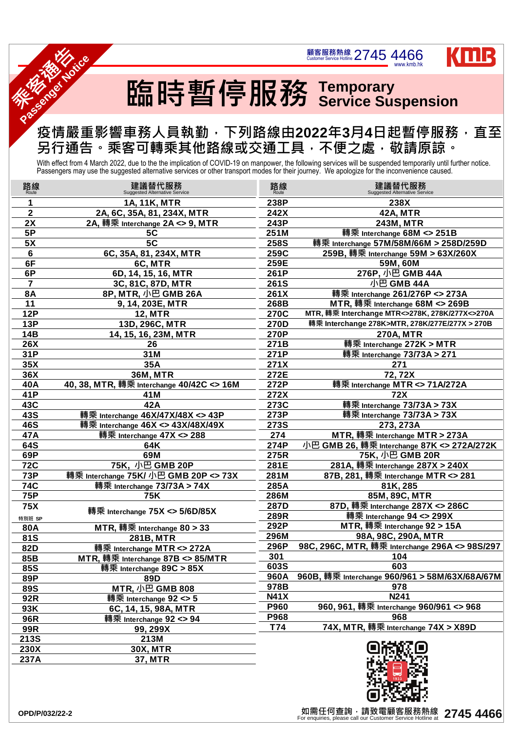## 臨時暫停服務 **Temporary Service Suspension**

顧客服務熱線 2745 4466

## 疫情嚴重影響車務人員執勤,下列路線由**2022**年**3**月**4**日起暫停服務,直至 另行通告。乘客可轉乘其他路線或交通工具,不便之處,敬請原諒。 **Passenger Particle**

With effect from 4 March 2022, due to the the implication of COVID-19 on manpower, the following services will be suspended temporarily until further notice.<br>Passengers may use the suggested alternative services or other t

www.kmb.hk

KILL



**THE SOLUTION WAS** 

| 路線<br><sub>Route</sub> | 建議替代服務<br><b>Suggested Alternative Service</b> | 路線          | 建議替代服務<br><b>Suggested Alternative Service</b> |
|------------------------|------------------------------------------------|-------------|------------------------------------------------|
|                        | 1A, 11K, MTR                                   | 238P        | 238X                                           |
| $\mathbf{2}$           | 2A, 6C, 35A, 81, 234X, MTR                     | 242X        | <b>42A, MTR</b>                                |
| 2X                     | 2A, 轉乘 Interchange 2A <> 9, MTR                | 243P        | 243M, MTR                                      |
| <b>5P</b>              | 5C                                             | 251M        | 轉乘 Interchange 68M <> 251B                     |
| 5X                     | 5C                                             | <b>258S</b> | 轉乘 Interchange 57M/58M/66M > 258D/259D         |
| 6                      | 6C, 35A, 81, 234X, MTR                         | 259C        | 259B, 轉乘 Interchange 59M > 63X/260X            |
| 6F                     | 6C, MTR                                        | 259E        | 59M, 60M                                       |
| 6P                     | 6D, 14, 15, 16, MTR                            | 261P        | 276P, 小巴 GMB 44A                               |
| $\overline{7}$         | 3C, 81C, 87D, MTR                              | <b>261S</b> | 小巴 GMB 44A                                     |
| <b>8A</b>              | 8P, MTR, 小巴 GMB 26A                            | 261X        | 轉乘 Interchange 261/276P <> 273A                |
| 11                     | 9, 14, 203E, MTR                               | 268B        | MTR, 轉乘 Interchange 68M <> 269B                |
| <b>12P</b>             | <b>12, MTR</b>                                 | <b>270C</b> | MTR, 轉乘 Interchange MTR<>278K, 278K/277X<>270A |
| <b>13P</b>             | 13D, 296C, MTR                                 | <b>270D</b> | 轉乘 Interchange 278K>MTR, 278K/277E/277X > 270B |
| <b>14B</b>             | 14, 15, 16, 23M, MTR                           | 270P        | <b>270A, MTR</b>                               |
| <b>26X</b>             | 26                                             | 271B        | 轉乘 Interchange 272K > MTR                      |
| 31P                    | 31M                                            | 271P        | 轉乘 Interchange 73/73A > 271                    |
| 35X                    | 35A                                            | 271X        | 271                                            |
| 36X                    | <b>36M, MTR</b>                                | 272E        | 72, 72X                                        |
| 40A                    | 40, 38, MTR, 轉乘 Interchange 40/42C <> 16M      | 272P        | 轉乘 Interchange MTR <> 71A/272A                 |
| 41P                    | 41M                                            | 272X        | <b>72X</b>                                     |
| 43C                    | 42A                                            | 273C        | 轉乘 Interchange 73/73A > 73X                    |
| <b>43S</b>             | 轉乘 Interchange 46X/47X/48X <> 43P              | 273P        | 轉乘 Interchange 73/73A > 73X                    |
| <b>46S</b>             | 轉乘 Interchange 46X <> 43X/48X/49X              | <b>273S</b> | 273, 273A                                      |
| 47A                    | 轉乘 Interchange 47X <> 288                      | 274         | MTR, 轉乘 Interchange MTR > 273A                 |
| <b>64S</b>             | 64K                                            | 274P        | 小巴 GMB 26, 轉乘 Interchange 87K <> 272A/272K     |
| 69P                    | 69M                                            | 275R        | <u>75K, 小巴 GMB 20R</u>                         |
| <b>72C</b>             | 75K, 小巴 GMB 20P                                | 281E        | 281A, 轉乘 Interchange 287X > 240X               |
| <b>73P</b>             | 轉乘 Interchange 75K/ 小巴 GMB 20P <> 73X          | 281M        | 87B, 281, 轉乘 Interchange MTR <> 281            |
| <b>74C</b>             | 轉乘 Interchange 73/73A > 74X                    | 285A        | 81K, 285                                       |
| <b>75P</b>             | <b>75K</b>                                     | 286M        | 85M, 89C, MTR                                  |
| <b>75X</b>             | 轉乘 Interchange 75X <> 5/6D/85X                 | 287D        | 87D, 轉乘 Interchange 287X <> 286C               |
| 特別班 SP                 |                                                | 289R        | 轉乘 Interchange 94 <> 299X                      |
| <b>80A</b>             | MTR, 轉乘 Interchange $80 > 33$                  | 292P        | MTR, 轉乘 Interchange 92 > 15A                   |
| <b>81S</b>             | <b>281B, MTR</b>                               | 296M        | 98A, 98C, 290A, MTR                            |
| <b>82D</b>             | 轉乘 Interchange MTR <> 272A                     | 296P        | 98C, 296C, MTR, 轉乘 Interchange 296A <> 98S/297 |
| 85B                    | MTR, 轉乘 Interchange 87B <> 85/MTR              | 301         | 104                                            |
| <b>85S</b>             | 轉乘 Interchange 89C > 85X                       | 603S        | 603                                            |
| 89P                    | 89D                                            | <b>960A</b> | 960B, 轉乘 Interchange 960/961 > 58M/63X/68A/67M |
| <b>89S</b>             | MTR, 小巴 GMB 808                                | 978B        | 978                                            |
| <b>92R</b>             | 轉乘 Interchange 92 <> 5                         | <b>N41X</b> | N <sub>241</sub>                               |
| 93K                    | 6C, 14, 15, 98A, MTR                           | <b>P960</b> | 960, 961, 轉乘 Interchange 960/961 <> 968        |
| <b>96R</b>             | 轉乘 Interchange 92 <> 94                        | <b>P968</b> | 968                                            |
| <b>99R</b>             | 99, 299X                                       | T74         | 74X, MTR, 轉乘 Interchange 74X > X89D            |
| <b>213S</b>            | 213M                                           |             |                                                |
| <b>230X</b>            | <b>30X, MTR</b>                                |             |                                                |
| 237A                   | <b>37, MTR</b>                                 |             |                                                |

如需任何查詢,請致電顧客服務熱線 【如需任何查詢,請致電顧客服務熱線 2745 4466<br>For enquiries, please call our Customer Service Hotline at